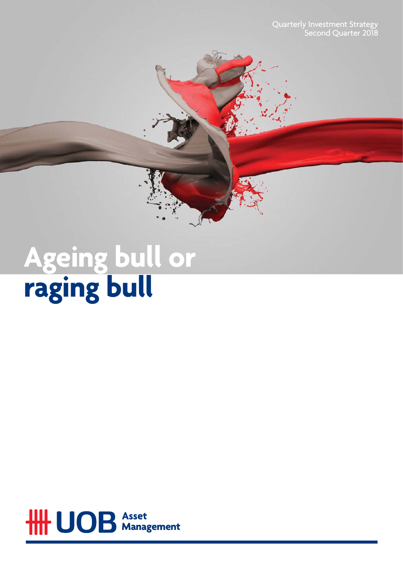

# **Ageing bull or raging bull**

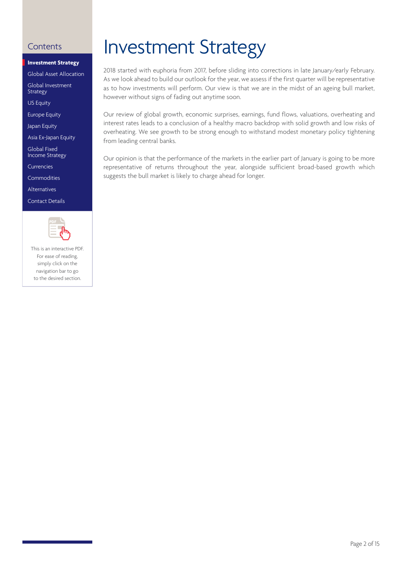#### **Investment Strategy**

[Global Asset Allocation](#page-2-0) 

[Global Investment](#page-3-0) Strategy

US Equity

[Europe Equity](#page-4-0)

Japan Equity

[Asia Ex-Japan Equity](#page-5-0)

Global Fixed [Income Strategy](#page-7-0)

[Currencies](#page-10-0)

[Commodities](#page-11-0)

[Alternatives](#page-12-0)

[Contact Details](#page-13-0)



This is an interactive PDF. For ease of reading, simply click on the navigation bar to go to the desired section.

# <span id="page-1-0"></span>Contents **Investment Strategy**

2018 started with euphoria from 2017, before sliding into corrections in late January/early February. As we look ahead to build our outlook for the year, we assess if the first quarter will be representative as to how investments will perform. Our view is that we are in the midst of an ageing bull market, however without signs of fading out anytime soon.

Our review of global growth, economic surprises, earnings, fund flows, valuations, overheating and interest rates leads to a conclusion of a healthy macro backdrop with solid growth and low risks of overheating. We see growth to be strong enough to withstand modest monetary policy tightening from leading central banks.

Our opinion is that the performance of the markets in the earlier part of January is going to be more representative of returns throughout the year, alongside sufficient broad-based growth which suggests the bull market is likely to charge ahead for longer.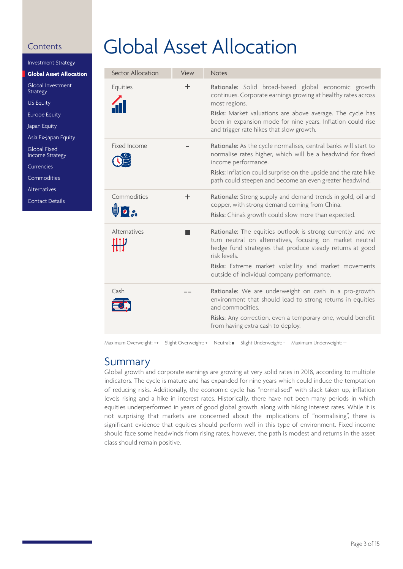<span id="page-2-0"></span>[Investment Strategy](#page-1-0)

**Global Asset Allocation**

[Global Investment](#page-3-0) Strategy

US Equity

[Europe Equity](#page-4-0)

Japan Equity

[Asia Ex-Japan Equity](#page-5-0)

Global Fixed [Income Strategy](#page-7-0)

[Currencies](#page-10-0)

[Commodities](#page-11-0)

[Alternatives](#page-12-0)

[Contact Details](#page-13-0)

# Global Asset Allocation

| Sector Allocation    | View  | <b>Notes</b>                                                                                                                                                                                                                                                                                                  |
|----------------------|-------|---------------------------------------------------------------------------------------------------------------------------------------------------------------------------------------------------------------------------------------------------------------------------------------------------------------|
| Equities             | ÷     | Rationale: Solid broad-based global economic growth<br>continues. Corporate earnings growing at healthy rates across<br>most regions.<br>Risks: Market valuations are above average. The cycle has<br>been in expansion mode for nine years. Inflation could rise<br>and trigger rate hikes that slow growth. |
| Fixed Income         |       | Rationale: As the cycle normalises, central banks will start to<br>normalise rates higher, which will be a headwind for fixed<br>income performance.<br>Risks: Inflation could surprise on the upside and the rate hike<br>path could steepen and become an even greater headwind.                            |
| Commodities<br>UIO & | $\pm$ | Rationale: Strong supply and demand trends in gold, oil and<br>copper, with strong demand coming from China.<br>Risks: China's growth could slow more than expected.                                                                                                                                          |
| Alternatives         |       | Rationale: The equities outlook is strong currently and we<br>turn neutral on alternatives, focusing on market neutral<br>hedge fund strategies that produce steady returns at good<br>risk levels.<br>Risks: Extreme market volatility and market movements<br>outside of individual company performance.    |
| Cash                 |       | Rationale: We are underweight on cash in a pro-growth<br>environment that should lead to strong returns in equities<br>and commodities.<br>Risks: Any correction, even a temporary one, would benefit<br>from having extra cash to deploy.                                                                    |
|                      |       |                                                                                                                                                                                                                                                                                                               |

Maximum Overweight: ++ Slight Overweight: + Neutral: Slight Underweight: - Maximum Underweight: --

# Summary

Global growth and corporate earnings are growing at very solid rates in 2018, according to multiple indicators. The cycle is mature and has expanded for nine years which could induce the temptation of reducing risks. Additionally, the economic cycle has "normalised" with slack taken up, inflation levels rising and a hike in interest rates. Historically, there have not been many periods in which equities underperformed in years of good global growth, along with hiking interest rates. While it is not surprising that markets are concerned about the implications of "normalising", there is significant evidence that equities should perform well in this type of environment. Fixed income should face some headwinds from rising rates, however, the path is modest and returns in the asset class should remain positive.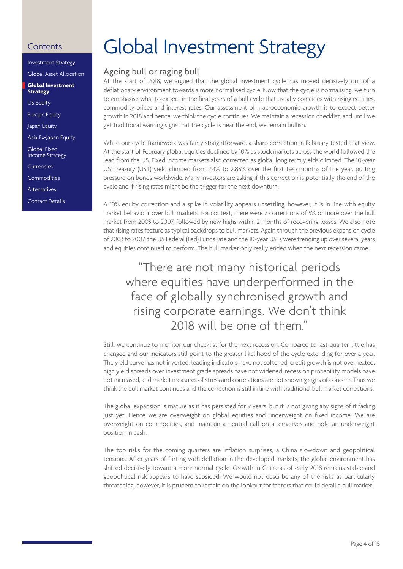[Investment Strategy](#page-1-0) [Global Asset Allocation](#page-2-0)

**Global Investment**

**Strategy** US Equity

[Europe Equity](#page-4-0)

Japan Equity

[Asia Ex-Japan Equity](#page-5-0)

Global Fixed [Income Strategy](#page-7-0)

[Currencies](#page-10-0)

[Commodities](#page-11-0)

[Alternatives](#page-12-0)

[Contact Details](#page-13-0)

# <span id="page-3-0"></span>Contents Global Investment Strategy

## Ageing bull or raging bull

At the start of 2018, we argued that the global investment cycle has moved decisively out of a deflationary environment towards a more normalised cycle. Now that the cycle is normalising, we turn to emphasise what to expect in the final years of a bull cycle that usually coincides with rising equities, commodity prices and interest rates. Our assessment of macroeconomic growth is to expect better growth in 2018 and hence, we think the cycle continues. We maintain a recession checklist, and until we get traditional warning signs that the cycle is near the end, we remain bullish.

While our cycle framework was fairly straightforward, a sharp correction in February tested that view. At the start of February global equities declined by 10% as stock markets across the world followed the lead from the US. Fixed income markets also corrected as global long term yields climbed. The 10-year US Treasury (UST) yield climbed from 2.4% to 2.85% over the first two months of the year, putting pressure on bonds worldwide. Many investors are asking if this correction is potentially the end of the cycle and if rising rates might be the trigger for the next downturn.

A 10% equity correction and a spike in volatility appears unsettling, however, it is in line with equity market behaviour over bull markets. For context, there were 7 corrections of 5% or more over the bull market from 2003 to 2007, followed by new highs within 2 months of recovering losses. We also note that rising rates feature as typical backdrops to bull markets. Again through the previous expansion cycle of 2003 to 2007, the US Federal (Fed) Funds rate and the 10-year USTs were trending up over several years and equities continued to perform. The bull market only really ended when the next recession came.

"There are not many historical periods where equities have underperformed in the face of globally synchronised growth and rising corporate earnings. We don't think 2018 will be one of them."

Still, we continue to monitor our checklist for the next recession. Compared to last quarter, little has changed and our indicators still point to the greater likelihood of the cycle extending for over a year. The yield curve has not inverted, leading indicators have not softened, credit growth is not overheated, high yield spreads over investment grade spreads have not widened, recession probability models have not increased, and market measures of stress and correlations are not showing signs of concern. Thus we think the bull market continues and the correction is still in line with traditional bull market corrections.

The global expansion is mature as it has persisted for 9 years, but it is not giving any signs of it fading just yet. Hence we are overweight on global equities and underweight on fixed income. We are overweight on commodities, and maintain a neutral call on alternatives and hold an underweight position in cash.

The top risks for the coming quarters are inflation surprises, a China slowdown and geopolitical tensions. After years of flirting with deflation in the developed markets, the global environment has shifted decisively toward a more normal cycle. Growth in China as of early 2018 remains stable and geopolitical risk appears to have subsided. We would not describe any of the risks as particularly threatening, however, it is prudent to remain on the lookout for factors that could derail a bull market.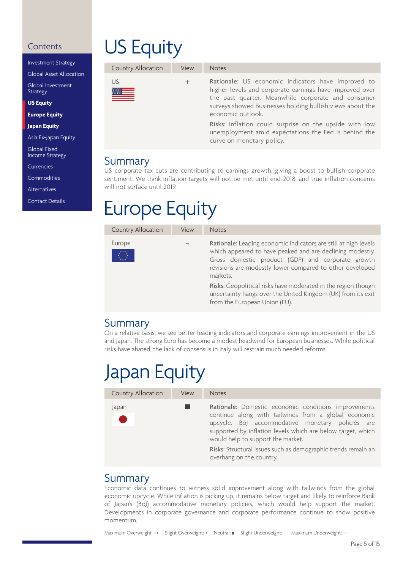<span id="page-4-0"></span>[Investment Strategy](#page-1-0)

[Global Asset Allocation](#page-2-0)

[Global Investment](#page-3-0) Strategy

**US Equity**

**Europe Equity**

**Japan Equity**

[Asia Ex-Japan Equity](#page-5-0)

Global Fixed [Income Strategy](#page-7-0)

[Currencies](#page-10-0)

[Commodities](#page-11-0)

[Alternatives](#page-12-0)

[Contact Details](#page-13-0)

# US Equity

| Country Allocation | View | <b>Notes</b>                                                                                                                                                                                                                                          |
|--------------------|------|-------------------------------------------------------------------------------------------------------------------------------------------------------------------------------------------------------------------------------------------------------|
| US                 | ÷    | Rationale: US economic indicators have improved to<br>higher levels and corporate earnings have improved over<br>the past quarter. Meanwhile corporate and consumer<br>surveys showed businesses holding bullish views about the<br>economic outlook. |
|                    |      | Risks: Inflation could surprise on the upside with low<br>unemployment amid expectations the Fed is behind the<br>curve on monetary policy.                                                                                                           |

# Summary

US corporate tax cuts are contributing to earnings growth, giving a boost to bullish corporate sentiment. We think inflation targets will not be met until end-2018, and true inflation concerns will not surface until 2019.

# Europe Equity

| Country Allocation                                                                                                                 | View | <b>Notes</b>                                                                                                                                                                                                                                              |
|------------------------------------------------------------------------------------------------------------------------------------|------|-----------------------------------------------------------------------------------------------------------------------------------------------------------------------------------------------------------------------------------------------------------|
| Europe<br>$\begin{array}{c} \mathbf{x}^{n}\mathbf{x}_{n}\\ \mathbf{x}_{n}\mathbf{x}^{n}\\ \mathbf{x}_{n}\mathbf{x}^{n}\end{array}$ |      | Rationale: Leading economic indicators are still at high levels<br>which appeared to have peaked and are declining modestly.<br>Gross domestic product (GDP) and corporate growth<br>revisions are modestly lower compared to other developed<br>markets. |
|                                                                                                                                    |      | Risks: Geopolitical risks have moderated in the region though<br>uncertainty hangs over the United Kingdom (UK) from its exit<br>from the European Union (EU).                                                                                            |

## Summary

On a relative basis, we see better leading indicators and corporate earnings improvement in the US and Japan. The strong Euro has become a modest headwind for European businesses. While political risks have abated, the lack of consensus in Italy will restrain much needed reforms.

# Japan Equity

| Country Allocation | View | <b>Notes</b>                                                                                                                                                                                                                                                                                                                                                      |
|--------------------|------|-------------------------------------------------------------------------------------------------------------------------------------------------------------------------------------------------------------------------------------------------------------------------------------------------------------------------------------------------------------------|
| Japan              |      | Rationale: Domestic economic conditions improvements<br>continue along with tailwinds from a global economic<br>upcycle. BoJ accommodative monetary policies are<br>supported by inflation levels which are below target, which<br>would help to support the market.<br>Risks: Structural issues such as demographic trends remain an<br>overhang on the country. |

# Summary

Economic data continues to witness solid improvement along with tailwinds from the global economic upcycle. While inflation is picking up, it remains below target and likely to reinforce Bank of Japan's (BoJ) accommodative monetary policies, which would help support the market. Developments in corporate governance and corporate performance continue to show positive momentum.

Maximum Overweight: ++ Slight Overweight: + Neutral: Slight Underweight: - Maximum Underweight: --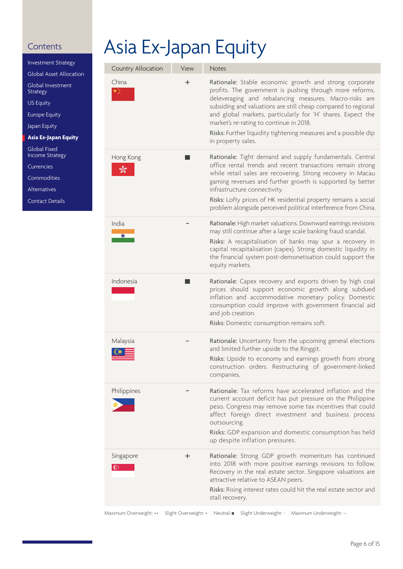<span id="page-5-0"></span>[Investment Strategy](#page-1-0) [Global Asset Allocation](#page-2-0) [Global Investment](#page-3-0) Strategy US Equity [Europe Equity](#page-4-0) Japan Equity **Asia Ex-Japan Equity** Global Fixed [Income Strategy](#page-7-0)

[Currencies](#page-10-0)

[Commodities](#page-11-0)

[Alternatives](#page-12-0)

[Contact Details](#page-13-0)

# Asia Ex-Japan Equity

| Country Allocation    | View  | <b>Notes</b>                                                                                                                                                                                                                                                                                                                                                                                                                                     |
|-----------------------|-------|--------------------------------------------------------------------------------------------------------------------------------------------------------------------------------------------------------------------------------------------------------------------------------------------------------------------------------------------------------------------------------------------------------------------------------------------------|
| China                 | $\pm$ | Rationale: Stable economic growth and strong corporate<br>profits. The government is pushing through more reforms,<br>deleveraging and rebalancing measures. Macro-risks are<br>subsiding and valuations are still cheap compared to regional<br>and global markets, particularly for 'H' shares. Expect the<br>market's re-rating to continue in 2018.<br>Risks: Further liquidity tightening measures and a possible dip<br>in property sales. |
| Hong Kong<br>☆        |       | Rationale: Tight demand and supply fundamentals. Central<br>office rental trends and recent transactions remain strong<br>while retail sales are recovering. Strong recovery in Macau<br>gaming revenues and further growth is supported by better<br>infrastructure connectivity.<br>Risks: Lofty prices of HK residential property remains a social<br>problem alongside perceived political interference from China.                          |
| India<br>60           |       | Rationale: High market valuations. Downward earnings revisions<br>may still continue after a large scale banking fraud scandal.<br>Risks: A recapitalisation of banks may spur a recovery in<br>capital recapitalisation (capex). Strong domestic liquidity in<br>the financial system post-demonetisation could support the<br>equity markets.                                                                                                  |
| Indonesia             |       | Rationale: Capex recovery and exports driven by high coal<br>prices should support economic growth along subdued<br>inflation and accommodative monetary policy. Domestic<br>consumption could improve with government financial aid<br>and job creation.<br>Risks: Domestic consumption remains soft.                                                                                                                                           |
| Malaysia              |       | Rationale: Uncertainty from the upcoming general elections<br>and limited further upside to the Ringgit.<br>Risks: Upside to economy and earnings growth from strong<br>construction orders. Restructuring of government-linked<br>companies.                                                                                                                                                                                                    |
| Philippines           |       | Rationale: Tax reforms have accelerated inflation and the<br>current account deficit has put pressure on the Philippine<br>peso. Congress may remove some tax incentives that could<br>affect foreign direct investment and business process<br>outsourcing.<br>Risks: GDP expansion and domestic consumption has held<br>up despite inflation pressures.                                                                                        |
| Singapore<br><b>C</b> | $\pm$ | Rationale: Strong GDP growth momentum has continued<br>into 2018 with more positive earnings revisions to follow.<br>Recovery in the real estate sector. Singapore valuations are<br>attractive relative to ASEAN peers.<br>Risks: Rising interest rates could hit the real estate sector and<br>stall recovery.                                                                                                                                 |
|                       |       |                                                                                                                                                                                                                                                                                                                                                                                                                                                  |

Maximum Overweight: ++ Slight Overweight: + Neutral: Slight Underweight: - Maximum Underweight: --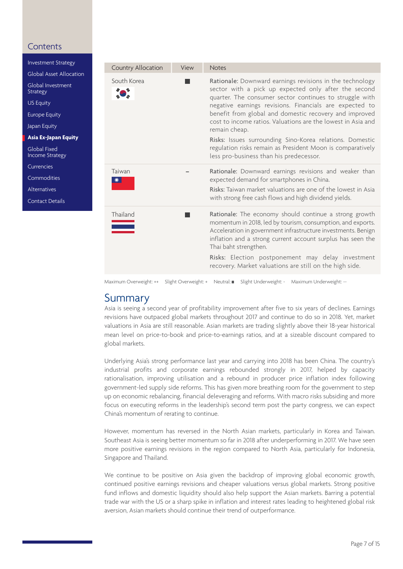Investment Strategy Global Asset Allocation

Global Investment Strategy

US Equity

Europe Equity

Japan Equity

**Asia Ex-Japan Equity**

Global Fixed Income Strategy

Currencies

Commodities

Alternatives

Contact Details



Maximum Overweight: ++ Slight Overweight: + Neutral: Slight Underweight: - Maximum Underweight: --

## Summary

Asia is seeing a second year of profitability improvement after five to six years of declines. Earnings revisions have outpaced global markets throughout 2017 and continue to do so in 2018. Yet, market valuations in Asia are still reasonable. Asian markets are trading slightly above their 18-year historical mean level on price-to-book and price-to-earnings ratios, and at a sizeable discount compared to global markets.

Underlying Asia's strong performance last year and carrying into 2018 has been China. The country's industrial profits and corporate earnings rebounded strongly in 2017, helped by capacity rationalisation, improving utilisation and a rebound in producer price inflation index following government-led supply side reforms. This has given more breathing room for the government to step up on economic rebalancing, financial deleveraging and reforms. With macro risks subsiding and more focus on executing reforms in the leadership's second term post the party congress, we can expect China's momentum of rerating to continue.

However, momentum has reversed in the North Asian markets, particularly in Korea and Taiwan. Southeast Asia is seeing better momentum so far in 2018 after underperforming in 2017. We have seen more positive earnings revisions in the region compared to North Asia, particularly for Indonesia, Singapore and Thailand.

We continue to be positive on Asia given the backdrop of improving global economic growth, continued positive earnings revisions and cheaper valuations versus global markets. Strong positive fund inflows and domestic liquidity should also help support the Asian markets. Barring a potential trade war with the US or a sharp spike in inflation and interest rates leading to heightened global risk aversion, Asian markets should continue their trend of outperformance.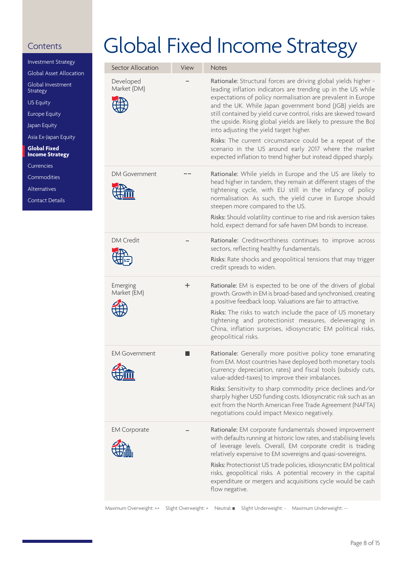<span id="page-7-0"></span>[Investment Strategy](#page-1-0)

[Global Asset Allocation](#page-2-0)

[Global Investment](#page-3-0) Strategy

US Equity

[Europe Equity](#page-4-0)

Japan Equity

[Asia Ex-Japan Equity](#page-5-0)

**Global Fixed Income Strategy**

[Currencies](#page-10-0)

**[Commodities](#page-11-0)** 

[Alternatives](#page-12-0)

[Contact Details](#page-13-0)

# Global Fixed Income Strategy

| Sector Allocation                | View  | <b>Notes</b>                                                                                                                                                                                                                                                                                                                                                                                                                                                                                                                                                                                                                        |
|----------------------------------|-------|-------------------------------------------------------------------------------------------------------------------------------------------------------------------------------------------------------------------------------------------------------------------------------------------------------------------------------------------------------------------------------------------------------------------------------------------------------------------------------------------------------------------------------------------------------------------------------------------------------------------------------------|
| Developed<br>Market (DM)         |       | Rationale: Structural forces are driving global yields higher -<br>leading inflation indicators are trending up in the US while<br>expectations of policy normalisation are prevalent in Europe<br>and the UK. While Japan government bond (JGB) yields are<br>still contained by yield curve control, risks are skewed toward<br>the upside. Rising global yields are likely to pressure the BoJ<br>into adjusting the yield target higher.<br>Risks: The current circumstance could be a repeat of the<br>scenario in the US around early 2017 where the market<br>expected inflation to trend higher but instead dipped sharply. |
| <b>DM Government</b>             |       | Rationale: While yields in Europe and the US are likely to<br>head higher in tandem, they remain at different stages of the<br>tightening cycle, with EU still in the infancy of policy<br>normalisation. As such, the yield curve in Europe should<br>steepen more compared to the US.<br>Risks: Should volatility continue to rise and risk aversion takes<br>hold, expect demand for safe haven DM bonds to increase.                                                                                                                                                                                                            |
| <b>DM Credit</b>                 |       | Rationale: Creditworthiness continues to improve across<br>sectors, reflecting healthy fundamentals.<br>Risks: Rate shocks and geopolitical tensions that may trigger<br>credit spreads to widen.                                                                                                                                                                                                                                                                                                                                                                                                                                   |
| Emerging<br>Market (EM)          | $\pm$ | Rationale: EM is expected to be one of the drivers of global<br>growth. Growth in EM is broad-based and synchronised, creating<br>a positive feedback loop. Valuations are fair to attractive.<br>Risks: The risks to watch include the pace of US monetary<br>tightening and protectionist measures, deleveraging in<br>China, inflation surprises, idiosyncratic EM political risks,<br>geopolitical risks.                                                                                                                                                                                                                       |
| <b>EM Government</b><br>$\sigma$ |       | Rationale: Generally more positive policy tone emanating<br>from EM. Most countries have deployed both monetary tools<br>(currency depreciation, rates) and fiscal tools (subsidy cuts,<br>value-added-taxes) to improve their imbalances.<br>Risks: Sensitivity to sharp commodity price declines and/or<br>sharply higher USD funding costs. Idiosyncratic risk such as an<br>exit from the North American Free Trade Agreement (NAFTA)<br>negotiations could impact Mexico negatively.                                                                                                                                           |
| <b>EM Corporate</b>              |       | Rationale: EM corporate fundamentals showed improvement<br>with defaults running at historic low rates, and stabilising levels<br>of leverage levels. Overall, EM corporate credit is trading<br>relatively expensive to EM sovereigns and quasi-sovereigns.<br>Risks: Protectionist US trade policies, idiosyncratic EM political<br>risks, geopolitical risks. A potential recovery in the capital<br>expenditure or mergers and acquisitions cycle would be cash<br>flow negative.                                                                                                                                               |

Maximum Overweight: ++ Slight Overweight: + Neutral: Slight Underweight: - Maximum Underweight: --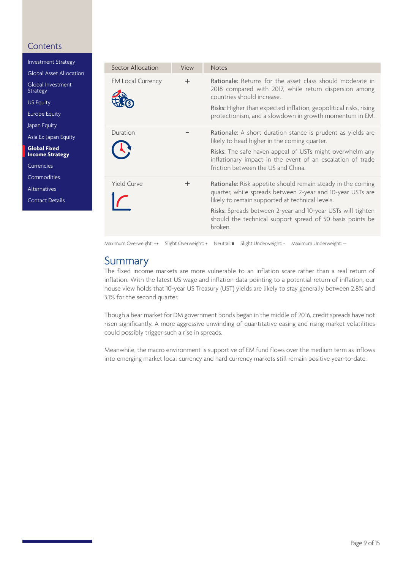[Global Asset Allocation](#page-2-0) [Global Investment](#page-3-0) Strategy US Equity [Europe Equity](#page-4-0) Japan Equity [Asia Ex-Japan Equity](#page-5-0)

[Investment Strategy](#page-1-0)

**Global Fixed Income Strategy**

[Currencies](#page-10-0)

[Commodities](#page-11-0)

[Alternatives](#page-12-0)

[Contact Details](#page-13-0)

| Sector Allocation        | View | <b>Notes</b>                                                                                                                                                                                                                                                                                                        |
|--------------------------|------|---------------------------------------------------------------------------------------------------------------------------------------------------------------------------------------------------------------------------------------------------------------------------------------------------------------------|
| <b>EM Local Currency</b> | ÷    | <b>Rationale:</b> Returns for the asset class should moderate in<br>2018 compared with 2017, while return dispersion among<br>countries should increase.                                                                                                                                                            |
|                          |      | Risks: Higher than expected inflation, geopolitical risks, rising<br>protectionism, and a slowdown in growth momentum in EM.                                                                                                                                                                                        |
| Duration                 |      | Rationale: A short duration stance is prudent as yields are<br>likely to head higher in the coming quarter.<br>Risks: The safe haven appeal of USTs might overwhelm any<br>inflationary impact in the event of an escalation of trade<br>friction between the US and China.                                         |
| <b>Yield Curve</b>       | ÷    | Rationale: Risk appetite should remain steady in the coming<br>quarter, while spreads between 2-year and 10-year USTs are<br>likely to remain supported at technical levels.<br>Risks: Spreads between 2-year and 10-year USTs will tighten<br>should the technical support spread of 50 basis points be<br>broken. |

Maximum Overweight: ++ Slight Overweight: + Neutral: Slight Underweight: - Maximum Underweight: --

# Summary

The fixed income markets are more vulnerable to an inflation scare rather than a real return of inflation. With the latest US wage and inflation data pointing to a potential return of inflation, our house view holds that 10-year US Treasury (UST) yields are likely to stay generally between 2.8% and 3.1% for the second quarter.

Though a bear market for DM government bonds began in the middle of 2016, credit spreads have not risen significantly. A more aggressive unwinding of quantitative easing and rising market volatilities could possibly trigger such a rise in spreads.

Meanwhile, the macro environment is supportive of EM fund flows over the medium term as inflows into emerging market local currency and hard currency markets still remain positive year-to-date.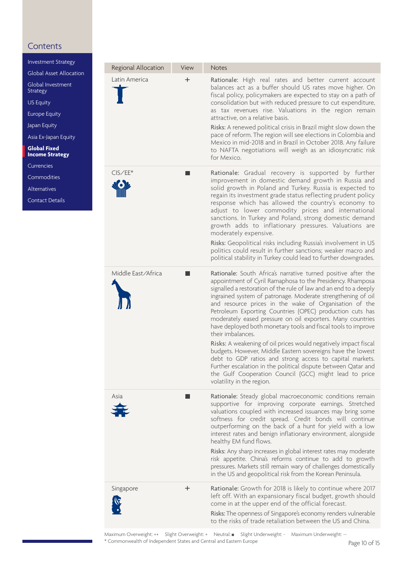[Investment Strategy](#page-1-0)

[Global Asset Allocation](#page-2-0)

[Global Investment](#page-3-0) **Strategy** 

US Equity

[Europe Equity](#page-4-0)

Japan Equity

[Asia Ex-Japan Equity](#page-5-0)

**Global Fixed Income Strategy**

[Currencies](#page-10-0)

[Commodities](#page-11-0)

[Alternatives](#page-12-0)

[Contact Details](#page-13-0)

| Regional Allocation | View | <b>Notes</b>                                                                                                                                                                                                                                                                                                                                                                                                                                                                                                                               |
|---------------------|------|--------------------------------------------------------------------------------------------------------------------------------------------------------------------------------------------------------------------------------------------------------------------------------------------------------------------------------------------------------------------------------------------------------------------------------------------------------------------------------------------------------------------------------------------|
| Latin America       | ÷    | Rationale: High real rates and better current account<br>balances act as a buffer should US rates move higher. On<br>fiscal policy, policymakers are expected to stay on a path of<br>consolidation but with reduced pressure to cut expenditure,<br>as tax revenues rise. Valuations in the region remain<br>attractive, on a relative basis.                                                                                                                                                                                             |
|                     |      | Risks: A renewed political crisis in Brazil might slow down the<br>pace of reform. The region will see elections in Colombia and<br>Mexico in mid-2018 and in Brazil in October 2018. Any failure<br>to NAFTA negotiations will weigh as an idiosyncratic risk<br>for Mexico.                                                                                                                                                                                                                                                              |
| $CIS/EE*$           |      | Rationale: Gradual recovery is supported by further<br>improvement in domestic demand growth in Russia and<br>solid growth in Poland and Turkey. Russia is expected to<br>regain its investment grade status reflecting prudent policy<br>response which has allowed the country's economy to<br>adjust to lower commodity prices and international<br>sanctions. In Turkey and Poland, strong domestic demand<br>growth adds to inflationary pressures. Valuations are<br>moderately expensive.                                           |
|                     |      | Risks: Geopolitical risks including Russia's involvement in US<br>politics could result in further sanctions; weaker macro and<br>political stability in Turkey could lead to further downgrades.                                                                                                                                                                                                                                                                                                                                          |
| Middle East/Africa  |      | Rationale: South Africa's narrative turned positive after the<br>appointment of Cyril Ramaphosa to the Presidency. Rhamposa<br>signalled a restoration of the rule of law and an end to a deeply<br>ingrained system of patronage. Moderate strengthening of oil<br>and resource prices in the wake of Organisation of the<br>Petroleum Exporting Countries (OPEC) production cuts has<br>moderately eased pressure on oil exporters. Many countries<br>have deployed both monetary tools and fiscal tools to improve<br>their imbalances. |
|                     |      | Risks: A weakening of oil prices would negatively impact fiscal<br>budgets. However, Middle Eastern sovereigns have the lowest<br>debt to GDP ratios and strong access to capital markets.<br>Further escalation in the political dispute between Qatar and<br>the Gulf Cooperation Council (GCC) might lead to price<br>volatility in the region.                                                                                                                                                                                         |
| Asia                |      | Rationale: Steady global macroeconomic conditions remain<br>supportive for improving corporate earnings. Stretched<br>valuations coupled with increased issuances may bring some<br>softness for credit spread. Credit bonds will continue<br>outperforming on the back of a hunt for yield with a low<br>interest rates and benign inflationary environment, alongside<br>healthy EM fund flows.                                                                                                                                          |
|                     |      | Risks: Any sharp increases in global interest rates may moderate<br>risk appetite. China's reforms continue to add to growth<br>pressures. Markets still remain wary of challenges domestically<br>in the US and geopolitical risk from the Korean Peninsula.                                                                                                                                                                                                                                                                              |
| Singapore           | ÷    | Rationale: Growth for 2018 is likely to continue where 2017<br>left off. With an expansionary fiscal budget, growth should<br>come in at the upper end of the official forecast.<br>Risks: The openness of Singapore's economy renders vulnerable<br>to the risks of trade retaliation between the US and China.                                                                                                                                                                                                                           |

Maximum Overweight: ++ Slight Overweight: + Neutral: 5 Slight Underweight: - Maximum Underweight: --\* Commonwealth of Independent States and Central and Eastern Europe Page 10 of 15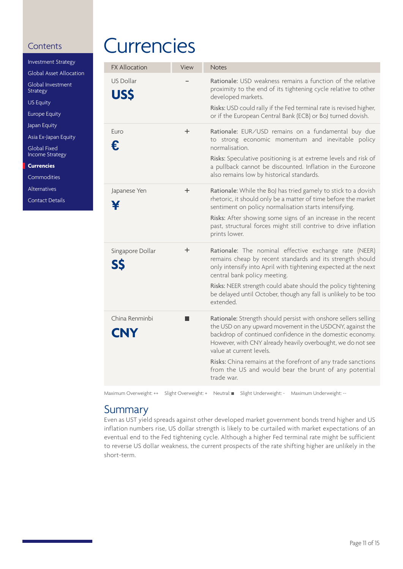$\cup$  $E<sub>L</sub>$ Ja

<span id="page-10-0"></span>

| <b>Investment Strategy</b>             | F  |
|----------------------------------------|----|
| Global Asset Allocation                |    |
| Global Investment<br><b>Strategy</b>   |    |
| <b>US Equity</b>                       |    |
| <b>Europe Equity</b>                   |    |
| Japan Equity                           | Ε  |
| Asia Ex-Japan Equity                   |    |
| Global Fixed<br><b>Income Strategy</b> | E  |
| <b>Currencies</b>                      |    |
| Commodities                            |    |
| Alternatives                           | Ji |
| Contact Details                        |    |
|                                        |    |

# **Currencies**

| <b>FX Allocation</b>           | View | <b>Notes</b>                                                                                                                                                                                                                                                                                                                                                                                                                |
|--------------------------------|------|-----------------------------------------------------------------------------------------------------------------------------------------------------------------------------------------------------------------------------------------------------------------------------------------------------------------------------------------------------------------------------------------------------------------------------|
| <b>US Dollar</b><br><b>USS</b> |      | Rationale: USD weakness remains a function of the relative<br>proximity to the end of its tightening cycle relative to other<br>developed markets.<br>Risks: USD could rally if the Fed terminal rate is revised higher,<br>or if the European Central Bank (ECB) or BoJ turned dovish.                                                                                                                                     |
| Euro<br>€                      | ÷    | Rationale: EUR/USD remains on a fundamental buy due<br>to strong economic momentum and inevitable policy<br>normalisation.<br>Risks: Speculative positioning is at extreme levels and risk of<br>a pullback cannot be discounted. Inflation in the Eurozone<br>also remains low by historical standards.                                                                                                                    |
| Japanese Yen                   | ÷.   | Rationale: While the BoJ has tried gamely to stick to a dovish<br>rhetoric, it should only be a matter of time before the market<br>sentiment on policy normalisation starts intensifying.<br>Risks: After showing some signs of an increase in the recent<br>past, structural forces might still contrive to drive inflation<br>prints lower.                                                                              |
| Singapore Dollar               | ÷    | Rationale: The nominal effective exchange rate (NEER)<br>remains cheap by recent standards and its strength should<br>only intensify into April with tightening expected at the next<br>central bank policy meeting.<br>Risks: NEER strength could abate should the policy tightening<br>be delayed until October, though any fall is unlikely to be too<br>extended.                                                       |
| China Renminbi<br>CNY          |      | Rationale: Strength should persist with onshore sellers selling<br>the USD on any upward movement in the USDCNY, against the<br>backdrop of continued confidence in the domestic economy.<br>However, with CNY already heavily overbought, we do not see<br>value at current levels.<br>Risks: China remains at the forefront of any trade sanctions<br>from the US and would bear the brunt of any potential<br>trade war. |
|                                |      |                                                                                                                                                                                                                                                                                                                                                                                                                             |

Maximum Overweight: ++ Slight Overweight: + Neutral: Slight Underweight: - Maximum Underweight: --

# **Summary**

Even as UST yield spreads against other developed market government bonds trend higher and US inflation numbers rise, US dollar strength is likely to be curtailed with market expectations of an eventual end to the Fed tightening cycle. Although a higher Fed terminal rate might be sufficient to reverse US dollar weakness, the current prospects of the rate shifting higher are unlikely in the short-term.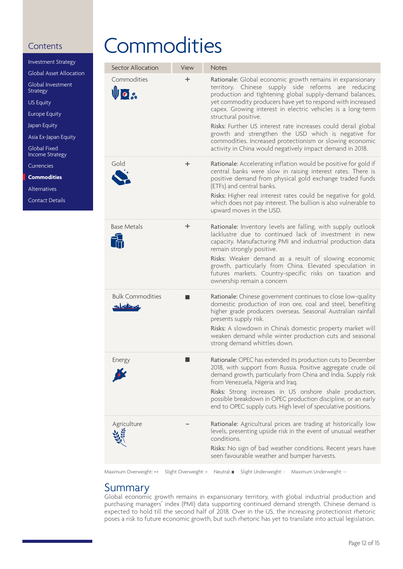<span id="page-11-0"></span>

| <b>Investment Strategy</b>    |
|-------------------------------|
| Global Asset Allocation       |
| Global Investment<br>Strategy |
| <b>US Equity</b>              |
| <b>Europe Equity</b>          |
| Japan Equity                  |
| Asia Ex-Japan Equity          |
| Global Fixed                  |

[Income Strategy](#page-7-0)

[Currencies](#page-10-0)

**Commodities**

[Alternatives](#page-12-0)

[Contact Details](#page-13-0)

# **Commodities**

| <b>Sector Allocation</b>         | View                 | <b>Notes</b>                                                                                                                                                                                                                                                                                                                                                                                                                  |
|----------------------------------|----------------------|-------------------------------------------------------------------------------------------------------------------------------------------------------------------------------------------------------------------------------------------------------------------------------------------------------------------------------------------------------------------------------------------------------------------------------|
| Commodities<br>Uo 2              | ÷.                   | Rationale: Global economic growth remains in expansionary<br>territory. Chinese supply side reforms are reducing<br>production and tightening global supply-demand balances,<br>yet commodity producers have yet to respond with increased<br>capex. Growing interest in electric vehicles is a long-term<br>structural positive.<br>Risks: Further US interest rate increases could derail global                            |
|                                  |                      | growth and strengthen the USD which is negative for<br>commodities. Increased protectionism or slowing economic<br>activity in China would negatively impact demand in 2018.                                                                                                                                                                                                                                                  |
| Gold                             | ÷.                   | Rationale: Accelerating inflation would be positive for gold if<br>central banks were slow in raising interest rates. There is<br>positive demand from physical gold exchange traded funds<br>(ETFs) and central banks.                                                                                                                                                                                                       |
|                                  |                      | Risks: Higher real interest rates could be negative for gold,<br>which does not pay interest. The bullion is also vulnerable to<br>upward moves in the USD.                                                                                                                                                                                                                                                                   |
| <b>Base Metals</b>               | ÷.                   | Rationale: Inventory levels are falling, with supply outlook<br>lacklustre due to continued lack of investment in new<br>capacity. Manufacturing PMI and industrial production data<br>remain strongly positive.<br>Risks: Weaker demand as a result of slowing economic<br>growth, particularly from China. Elevated speculation in<br>futures markets. Country-specific risks on taxation and<br>ownership remain a concern |
| <b>Bulk Commodities</b><br>كافاك |                      | Rationale: Chinese government continues to close low-quality<br>domestic production of iron ore, coal and steel, benefiting<br>higher grade producers overseas. Seasonal Australian rainfall<br>presents supply risk.                                                                                                                                                                                                         |
|                                  |                      | Risks: A slowdown in China's domestic property market will<br>weaken demand while winter production cuts and seasonal<br>strong demand whittles down.                                                                                                                                                                                                                                                                         |
| Energy                           |                      | Rationale: OPEC has extended its production cuts to December<br>2018, with support from Russia. Positive aggregate crude oil<br>demand growth, particularly from China and India. Supply risk<br>from Venezuela, Nigeria and Iraq.                                                                                                                                                                                            |
|                                  |                      | Risks: Strong increases in US onshore shale production,<br>possible breakdown in OPEC production discipline, or an early<br>end to OPEC supply cuts. High level of speculative positions.                                                                                                                                                                                                                                     |
| Agriculture                      |                      | Rationale: Agricultural prices are trading at historically low<br>levels, presenting upside risk in the event of unusual weather<br>conditions.<br>Risks: No sign of bad weather conditions. Recent years have                                                                                                                                                                                                                |
|                                  |                      | seen favourable weather and bumper harvests.                                                                                                                                                                                                                                                                                                                                                                                  |
| Maximum Overweight: ++           | Slight Overweight: + | Neutral:<br>Slight Underweight: - Maximum Underweight: --                                                                                                                                                                                                                                                                                                                                                                     |

# Summary

Global economic growth remains in expansionary territory, with global industrial production and purchasing managers' index (PMI) data supporting continued demand strength. Chinese demand is expected to hold till the second half of 2018. Over in the US, the increasing protectionist rhetoric poses a risk to future economic growth, but such rhetoric has yet to translate into actual legislation.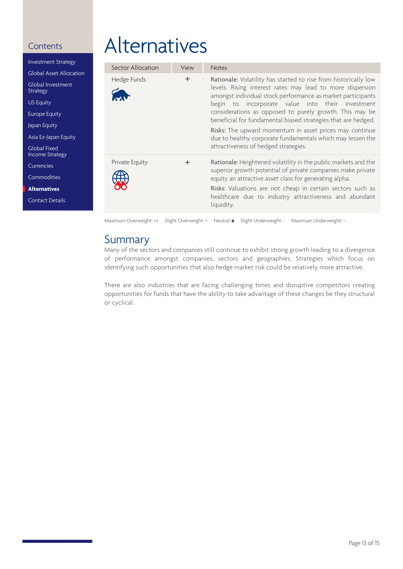<span id="page-12-0"></span>[Investment Strategy](#page-1-0) [Global Asset Allocation](#page-2-0) [Global Investment](#page-3-0) Strategy US Equity [Europe Equity](#page-4-0) Japan Equity [Asia Ex-Japan Equity](#page-5-0) Global Fixed [Income Strategy](#page-7-0) [Currencies](#page-10-0) [Commodities](#page-11-0) **Alternatives** [Contact Details](#page-13-0)

# Alternatives

| Sector Allocation | View  | <b>Notes</b>                                                                                                                                                                                                                                                                                                                                                                                                                                                                                                                                 |
|-------------------|-------|----------------------------------------------------------------------------------------------------------------------------------------------------------------------------------------------------------------------------------------------------------------------------------------------------------------------------------------------------------------------------------------------------------------------------------------------------------------------------------------------------------------------------------------------|
| Hedge Funds       | $\pm$ | Rationale: Volatility has started to rise from historically low<br>levels. Rising interest rates may lead to more dispersion<br>amongst individual stock performance as market participants<br>begin to incorporate value into their investment<br>considerations as opposed to purely growth. This may be<br>beneficial for fundamental biased strategies that are hedged.<br>Risks: The upward momentum in asset prices may continue<br>due to healthy corporate fundamentals which may lessen the<br>attractiveness of hedged strategies. |
| Private Equity    | ÷     | Rationale: Heightened volatility in the public markets and the<br>superior growth potential of private companies make private<br>equity an attractive asset class for generating alpha.<br>Risks: Valuations are not cheap in certain sectors such as<br>healthcare due to industry attractiveness and abundant<br>liquidity.                                                                                                                                                                                                                |

Maximum Overweight: ++ Slight Overweight: + Neutral: Slight Underweight: - Maximum Underweight: --

# Summary

Many of the sectors and companies still continue to exhibit strong growth leading to a divergence of performance amongst companies, sectors and geographies. Strategies which focus on identifying such opportunities that also hedge market risk could be relatively more attractive.

There are also industries that are facing challenging times and disruptive competitors creating opportunities for funds that have the ability to take advantage of these changes be they structural or cyclical.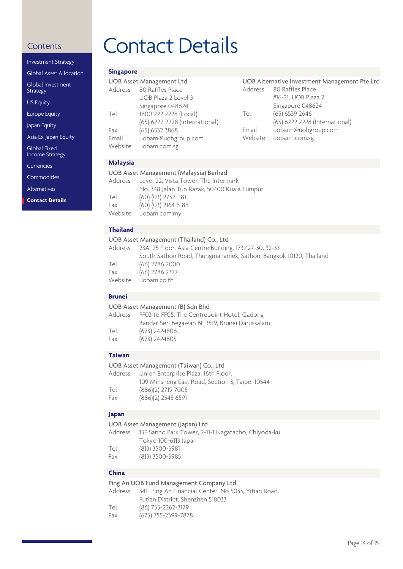| <b>Investment Strategy</b>                    |
|-----------------------------------------------|
| Global Asset Allocation                       |
| Global Investment<br><b>Strategy</b>          |
| <b>US Equity</b>                              |
| <b>Europe Equity</b>                          |
| Japan Equity                                  |
| Asia Ex-Japan Equity                          |
| <b>Global Fixed</b><br><b>Income Strategy</b> |
| Currencies                                    |
| Commodities                                   |
|                                               |

[Alternatives](#page-12-0)

**Contact Details**

# <span id="page-13-0"></span>Contents Contact Details

#### **Singapore** UOB Asset Management Ltd Address 80 Raffles Place UOB Plaza 2 Level 3 Singapore 048624 Tel 1800 222 2228 (Local) (65) 6222 2228 (International)<br>Fax (65) 6532 3868  $(65)$  6532 3868 Email uobam@uobgroup.com Website uobam.com.sg **Malaysia** UOB Alternative Investment Management Pte Ltd Address 80 Raffles Place #16-21, UOB Plaza 2 Singapore 048624 Tel (65) 6539 2646 (65) 6222 2228 (International) Email uobaim@uobgroup.com Website uobaim.com.sg

|     | UOB Asset Management (Malaysia) Berhad       |
|-----|----------------------------------------------|
|     | Address Level 22, Vista Tower, The Intermark |
|     | No. 348 Jalan Tun Razak, 50400 Kuala Lumpur  |
| Tel | $(60)$ $(03)$ 2732 1181                      |
| Fax | (60) (03) 2164 8188                          |
|     | Website uobam.com.my                         |
|     |                                              |

#### **Thailand**

|         | UOB Asset Management (Thailand) Co., Ltd                         |
|---------|------------------------------------------------------------------|
|         | Address 23A, 25 Floor, Asia Centre Building, 173/27-30, 32-33    |
|         | South Sathon Road, Thungmahamek, Sathon, Bangkok 10120, Thailand |
| Tel     | $(66)$ 2786 2000                                                 |
| Fax     | (66) 2786 2377                                                   |
| Website | uobam.co.th                                                      |
|         |                                                                  |

#### **Brunei**

|         | UOB Asset Management (B) Sdn Bhd               |
|---------|------------------------------------------------|
| Address | FF03 to FF05, The Centrepoint Hotel, Gadong    |
|         | Bandar Seri Begawan BE 3519, Brunei Darussalam |
| Tel     | $(673)$ 2424806                                |
| Fax     | $(673)$ 2424805                                |

### **Taiwan**

|     | UOB Asset Management (Taiwan) Co., Ltd          |
|-----|-------------------------------------------------|
|     | Address Union Enterprise Plaza, 16th Floor,     |
|     | 109 Minsheng East Road, Section 3, Taipei 10544 |
| Tel | (886)(2) 2719 7005                              |
| Fax | $(886)(2)$ 2545 6591                            |
|     |                                                 |

### **Japan**

|         | UOB Asset Management (Japan) Ltd                    |
|---------|-----------------------------------------------------|
| Address | 13F Sanno Park Tower, 2-11-1 Nagatacho, Chiyoda-ku, |
|         | Tokyo 100-6113 Japan                                |
| Tel     | $(813)$ 3500-5981                                   |
| Fax     | (813) 3500-5985                                     |

### **China**

| Ping An UOB Fund Management Company Ltd |                                                              |
|-----------------------------------------|--------------------------------------------------------------|
|                                         | Address 34F, Ping An Financial Center, No 5033, Yitian Road, |
|                                         | Futian District. Shenzhen 518033                             |
| Tel                                     | (86) 755-2262-3179                                           |
| Fax                                     | (673) 755-2399-7878                                          |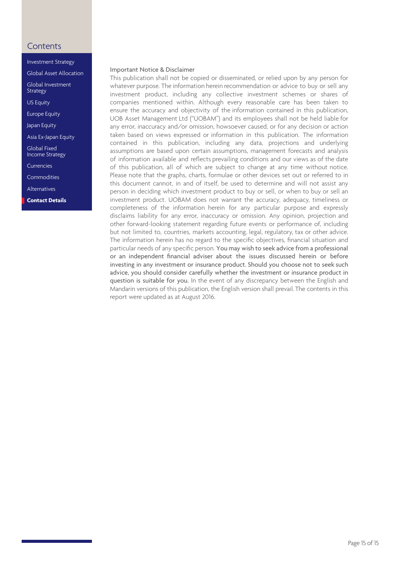- [Investment Strategy](#page-1-0)
- [Global Asset Allocation](#page-2-0)

[Global Investment](#page-3-0) Strategy

US Equity

[Europe Equity](#page-4-0)

Japan Equity

[Asia Ex-Japan Equity](#page-5-0)

Global Fixed [Income Strategy](#page-7-0)

[Currencies](#page-10-0)

[Commodities](#page-11-0)

[Alternatives](#page-12-0)

**Contact Details**

#### Important Notice & Disclaimer

This publication shall not be copied or disseminated, or relied upon by any person for whatever purpose. The information herein recommendation or advice to buy or sell any investment product, including any collective investment schemes or shares of companies mentioned within. Although every reasonable care has been taken to ensure the accuracy and objectivity of the information contained in this publication, UOB Asset Management Ltd ("UOBAM") and its employees shall not be held liable for any error, inaccuracy and/or omission, howsoever caused, or for any decision or action taken based on views expressed or information in this publication. The information contained in this publication, including any data, projections and underlying assumptions are based upon certain assumptions, management forecasts and analysis of information available and reflects prevailing conditions and our views as of the date of this publication, all of which are subject to change at any time without notice. Please note that the graphs, charts, formulae or other devices set out or referred to in this document cannot, in and of itself, be used to determine and will not assist any person in deciding which investment product to buy or sell, or when to buy or sell an investment product. UOBAM does not warrant the accuracy, adequacy, timeliness or completeness of the information herein for any particular purpose and expressly disclaims liability for any error, inaccuracy or omission. Any opinion, projection and other forward-looking statement regarding future events or performance of, including but not limited to, countries, markets accounting, legal, regulatory, tax or other advice. The information herein has no regard to the specific objectives, financial situation and particular needs of any specific person. You may wish to seek advice from a professional or an independent financial adviser about the issues discussed herein or before investing in any investment or insurance product. Should you choose not to seek such advice, you should consider carefully whether the investment or insurance product in question is suitable for you. In the event of any discrepancy between the English and Mandarin versions of this publication, the English version shall prevail. The contents in this report were updated as at August 2016.